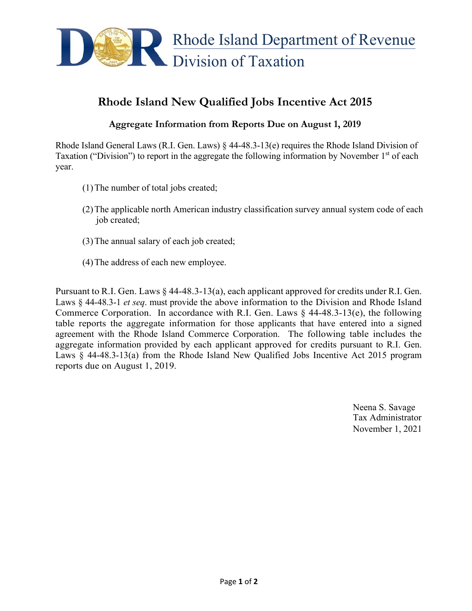

## **Rhode Island New Qualified Jobs Incentive Act 2015**

## **Aggregate Information from Reports Due on August 1, 2019**

Rhode Island General Laws (R.I. Gen. Laws) § 44-48.3-13(e) requires the Rhode Island Division of Taxation ("Division") to report in the aggregate the following information by November  $1<sup>st</sup>$  of each year.

- (1)The number of total jobs created;
- (2)The applicable north American industry classification survey annual system code of each job created;
- (3)The annual salary of each job created;
- (4)The address of each new employee.

Pursuant to R.I. Gen. Laws  $\S$  44-48.3-13(a), each applicant approved for credits under R.I. Gen. Laws § 44-48.3-1 *et seq*. must provide the above information to the Division and Rhode Island Commerce Corporation. In accordance with R.I. Gen. Laws  $\S$  44-48.3-13(e), the following table reports the aggregate information for those applicants that have entered into a signed agreement with the Rhode Island Commerce Corporation. The following table includes the aggregate information provided by each applicant approved for credits pursuant to R.I. Gen. Laws § 44-48.3-13(a) from the Rhode Island New Qualified Jobs Incentive Act 2015 program reports due on August 1, 2019.

> Neena S. Savage Tax Administrator November 1, 2021